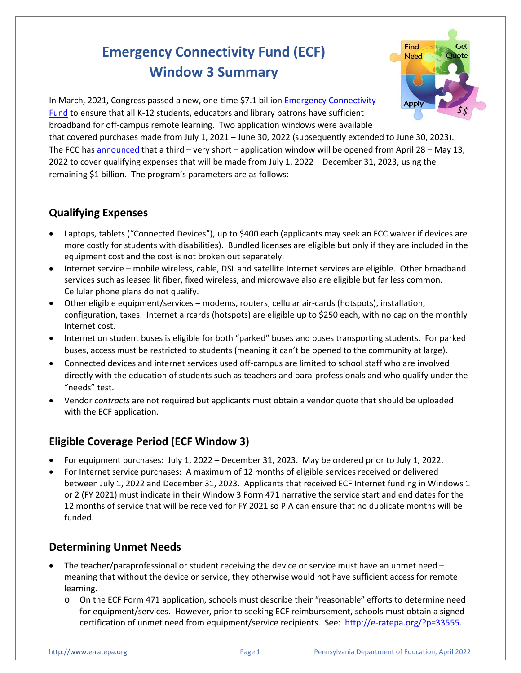# **Emergency Connectivity Fund (ECF) Window 3 Summary**



In March, 2021, Congress passed a new, one-time \$7.1 billion [Emergency Connectivity](https://docs.fcc.gov/public/attachments/FCC-21-58A1.pdf)  [Fund](https://docs.fcc.gov/public/attachments/FCC-21-58A1.pdf) to ensure that all K-12 students, educators and library patrons have sufficient broadband for off-campus remote learning. Two application windows were available that covered purchases made from July 1, 2021 – June 30, 2022 (subsequently extended to June 30, 2023). The FCC has [announced](https://nam10.safelinks.protection.outlook.com/?url=https%3A%2F%2Fdocs.fcc.gov%2Fpublic%2Fattachments%2FDA-22-309A1.pdf&data=04%7C01%7Cpl-erate%40lists.psu.edu%7Ce79b6435d37f49e0024308da0d29c8c0%7C7cf48d453ddb4389a9c1c115526eb52e%7C0%7C0%7C637836770663913800%7CUnknown%7CTWFpbGZsb3d8eyJWIjoiMC4wLjAwMDAiLCJQIjoiV2luMzIiLCJBTiI6Ik1haWwiLCJXVCI6Mn0%3D%7C3000&sdata=uh64D96kPHIvJW3XpwbC9fpc0tiyRqupygrwG6pfUgM%3D&reserved=0) that a third – very short – application window will be opened from April 28 – May 13, 2022 to cover qualifying expenses that will be made from July 1, 2022 – December 31, 2023, using the remaining \$1 billion. The program's parameters are as follows:

## **Qualifying Expenses**

- Laptops, tablets ("Connected Devices"), up to \$400 each (applicants may seek an FCC waiver if devices are more costly for students with disabilities). Bundled licenses are eligible but only if they are included in the equipment cost and the cost is not broken out separately.
- Internet service mobile wireless, cable, DSL and satellite Internet services are eligible. Other broadband services such as leased lit fiber, fixed wireless, and microwave also are eligible but far less common. Cellular phone plans do not qualify.
- Other eligible equipment/services modems, routers, cellular air-cards (hotspots), installation, configuration, taxes. Internet aircards (hotspots) are eligible up to \$250 each, with no cap on the monthly Internet cost.
- Internet on student buses is eligible for both "parked" buses and buses transporting students. For parked buses, access must be restricted to students (meaning it can't be opened to the community at large).
- Connected devices and internet services used off-campus are limited to school staff who are involved directly with the education of students such as teachers and para-professionals and who qualify under the "needs" test.
- Vendor *contracts* are not required but applicants must obtain a vendor quote that should be uploaded with the ECF application.

# **Eligible Coverage Period (ECF Window 3)**

- For equipment purchases: July 1, 2022 December 31, 2023. May be ordered prior to July 1, 2022.
- For Internet service purchases: A maximum of 12 months of eligible services received or delivered between July 1, 2022 and December 31, 2023. Applicants that received ECF Internet funding in Windows 1 or 2 (FY 2021) must indicate in their Window 3 Form 471 narrative the service start and end dates for the 12 months of service that will be received for FY 2021 so PIA can ensure that no duplicate months will be funded.

### **Determining Unmet Needs**

- The teacher/paraprofessional or student receiving the device or service must have an unmet need meaning that without the device or service, they otherwise would not have sufficient access for remote learning.
	- o On the ECF Form 471 application, schools must describe their "reasonable" efforts to determine need for equipment/services. However, prior to seeking ECF reimbursement, schools must obtain a signed certification of unmet need from equipment/service recipients. See: [http://e-ratepa.org/?p=33555.](http://e-ratepa.org/?p=33555)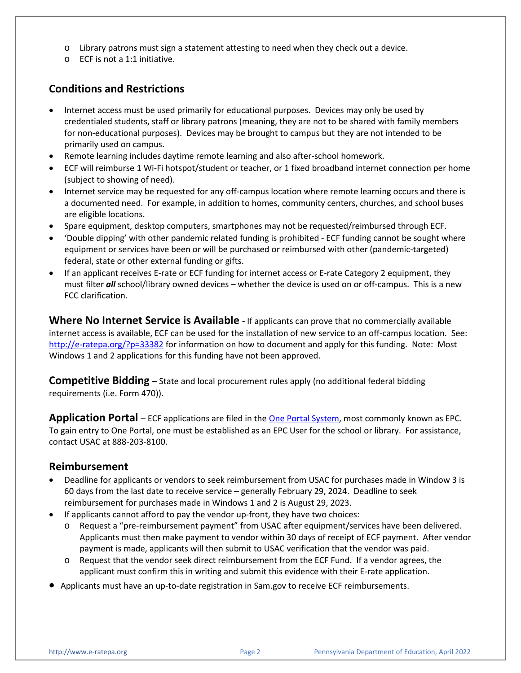- $\circ$  Library patrons must sign a statement attesting to need when they check out a device.
- o ECF is not a 1:1 initiative.

#### **Conditions and Restrictions**

- Internet access must be used primarily for educational purposes. Devices may only be used by credentialed students, staff or library patrons (meaning, they are not to be shared with family members for non-educational purposes). Devices may be brought to campus but they are not intended to be primarily used on campus.
- Remote learning includes daytime remote learning and also after-school homework.
- ECF will reimburse 1 Wi-Fi hotspot/student or teacher, or 1 fixed broadband internet connection per home (subject to showing of need).
- Internet service may be requested for any off-campus location where remote learning occurs and there is a documented need. For example, in addition to homes, community centers, churches, and school buses are eligible locations.
- Spare equipment, desktop computers, smartphones may not be requested/reimbursed through ECF.
- 'Double dipping' with other pandemic related funding is prohibited ECF funding cannot be sought where equipment or services have been or will be purchased or reimbursed with other (pandemic-targeted) federal, state or other external funding or gifts.
- If an applicant receives E-rate or ECF funding for internet access or E-rate Category 2 equipment, they must filter *all* school/library owned devices – whether the device is used on or off-campus.This is a new FCC clarification.

**Where No Internet Service is Available -** If applicants can prove that no commercially available internet access is available, ECF can be used for the installation of new service to an off-campus location. See: <http://e-ratepa.org/?p=33382> for information on how to document and apply for this funding. Note: Most Windows 1 and 2 applications for this funding have not been approved.

**Competitive Bidding** – State and local procurement rules apply (no additional federal bidding requirements (i.e. Form 470)).

**Application Portal** – ECF applications are filed in the [One Portal System,](https://forms.universalservice.org/portal/login) most commonly known as EPC. To gain entry to One Portal, one must be established as an EPC User for the school or library. For assistance, contact USAC at 888-203-8100.

#### **Reimbursement**

- Deadline for applicants or vendors to seek reimbursement from USAC for purchases made in Window 3 is 60 days from the last date to receive service – generally February 29, 2024. Deadline to seek reimbursement for purchases made in Windows 1 and 2 is August 29, 2023.
- If applicants cannot afford to pay the vendor up-front, they have two choices:
	- o Request a "pre-reimbursement payment" from USAC after equipment/services have been delivered. Applicants must then make payment to vendor within 30 days of receipt of ECF payment. After vendor payment is made, applicants will then submit to USAC verification that the vendor was paid.
	- o Request that the vendor seek direct reimbursement from the ECF Fund. If a vendor agrees, the applicant must confirm this in writing and submit this evidence with their E-rate application.
- Applicants must have an up-to-date registration in Sam.gov to receive ECF reimbursements.